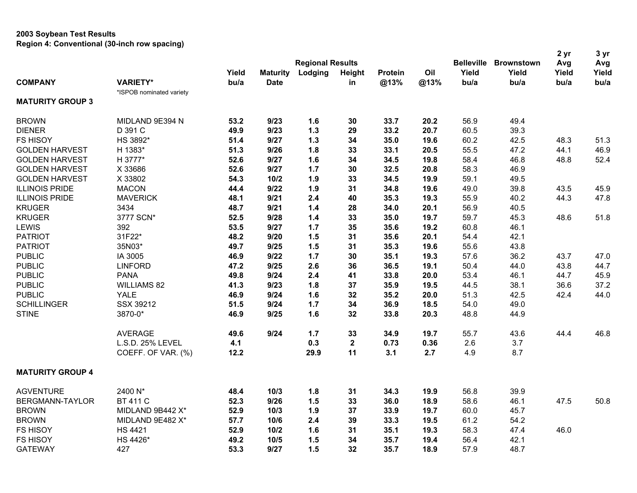## **2003 Soybean Test Results Region 4: Conventional (30-inch row spacing)**

|                         |                          | <b>Regional Results</b> |                                |         |               |                |             |                   |                   | 2 <sub>yr</sub> | 3 yr          |
|-------------------------|--------------------------|-------------------------|--------------------------------|---------|---------------|----------------|-------------|-------------------|-------------------|-----------------|---------------|
|                         |                          |                         |                                |         |               |                |             | <b>Belleville</b> | <b>Brownstown</b> | Avg             | Avg           |
| <b>COMPANY</b>          | <b>VARIETY*</b>          | Yield<br>bu/a           | <b>Maturity</b><br><b>Date</b> | Lodging | Height<br>in. | <b>Protein</b> | Oil<br>@13% | Yield<br>bu/a     | Yield<br>bu/a     | Yield<br>bu/a   | Yield<br>bu/a |
|                         |                          |                         |                                |         |               | @13%           |             |                   |                   |                 |               |
| <b>MATURITY GROUP 3</b> | *ISPOB nominated variety |                         |                                |         |               |                |             |                   |                   |                 |               |
| <b>BROWN</b>            | MIDLAND 9E394 N          | 53.2                    | 9/23                           | 1.6     | 30            | 33.7           | 20.2        | 56.9              | 49.4              |                 |               |
| <b>DIENER</b>           | D 391 C                  | 49.9                    | 9/23                           | $1.3$   | 29            | 33.2           | 20.7        | 60.5              | 39.3              |                 |               |
| <b>FS HISOY</b>         | HS 3892*                 | 51.4                    | 9/27                           | $1.3$   | 34            | 35.0           | 19.6        | 60.2              | 42.5              | 48.3            | 51.3          |
| <b>GOLDEN HARVEST</b>   | H 1383*                  | 51.3                    | 9/26                           | 1.8     | 33            | 33.1           | 20.5        | 55.5              | 47.2              | 44.1            | 46.9          |
| <b>GOLDEN HARVEST</b>   | H 3777*                  | 52.6                    | 9/27                           | 1.6     | 34            | 34.5           | 19.8        | 58.4              | 46.8              | 48.8            | 52.4          |
| <b>GOLDEN HARVEST</b>   | X 33686                  | 52.6                    | 9/27                           | 1.7     | 30            | 32.5           | 20.8        | 58.3              | 46.9              |                 |               |
| <b>GOLDEN HARVEST</b>   | X 33802                  | 54.3                    | $10/2$                         | 1.9     | 33            | 34.5           | 19.9        | 59.1              | 49.5              |                 |               |
| <b>ILLINOIS PRIDE</b>   | <b>MACON</b>             | 44.4                    | 9/22                           | 1.9     | 31            | 34.8           | 19.6        | 49.0              | 39.8              | 43.5            | 45.9          |
| <b>ILLINOIS PRIDE</b>   | <b>MAVERICK</b>          | 48.1                    | 9/21                           | 2.4     | 40            | 35.3           | 19.3        | 55.9              | 40.2              | 44.3            | 47.8          |
| <b>KRUGER</b>           | 3434                     | 48.7                    | 9/21                           | 1.4     | 28            | 34.0           | 20.1        | 56.9              | 40.5              |                 |               |
| <b>KRUGER</b>           | 3777 SCN*                | 52.5                    | 9/28                           | $1.4$   | 33            | 35.0           | 19.7        | 59.7              | 45.3              | 48.6            | 51.8          |
| <b>LEWIS</b>            | 392                      | 53.5                    | 9/27                           | 1.7     | 35            | 35.6           | 19.2        | 60.8              | 46.1              |                 |               |
| <b>PATRIOT</b>          | 31F22*                   | 48.2                    | 9/20                           | 1.5     | 31            | 35.6           | 20.1        | 54.4              | 42.1              |                 |               |
| <b>PATRIOT</b>          | 35N03*                   | 49.7                    | 9/25                           | 1.5     | 31            | 35.3           | 19.6        | 55.6              | 43.8              |                 |               |
| <b>PUBLIC</b>           | IA 3005                  | 46.9                    | 9/22                           | 1.7     | 30            | 35.1           | 19.3        | 57.6              | 36.2              | 43.7            | 47.0          |
| <b>PUBLIC</b>           | <b>LINFORD</b>           | 47.2                    | 9/25                           | 2.6     | 36            | 36.5           | 19.1        | 50.4              | 44.0              | 43.8            | 44.7          |
| <b>PUBLIC</b>           | <b>PANA</b>              | 49.8                    | 9/24                           | 2.4     | 41            | 33.8           | 20.0        | 53.4              | 46.1              | 44.7            | 45.9          |
| <b>PUBLIC</b>           | <b>WILLIAMS 82</b>       | 41.3                    | 9/23                           | 1.8     | 37            | 35.9           | 19.5        | 44.5              | 38.1              | 36.6            | 37.2          |
| <b>PUBLIC</b>           | <b>YALE</b>              | 46.9                    | 9/24                           | 1.6     | 32            | 35.2           | 20.0        | 51.3              | 42.5              | 42.4            | 44.0          |
| <b>SCHILLINGER</b>      | SSX 39212                | 51.5                    | 9/24                           | 1.7     | 34            | 36.9           | 18.5        | 54.0              | 49.0              |                 |               |
| <b>STINE</b>            | 3870-0*                  | 46.9                    | 9/25                           | 1.6     | 32            | 33.8           | 20.3        | 48.8              | 44.9              |                 |               |
|                         | <b>AVERAGE</b>           | 49.6                    | 9/24                           | 1.7     | 33            | 34.9           | 19.7        | 55.7              | 43.6              | 44.4            | 46.8          |
|                         | L.S.D. 25% LEVEL         | 4.1                     |                                | 0.3     | $\mathbf 2$   | 0.73           | 0.36        | 2.6               | 3.7               |                 |               |
|                         | COEFF. OF VAR. (%)       | 12.2                    |                                | 29.9    | 11            | 3.1            | 2.7         | 4.9               | 8.7               |                 |               |
| <b>MATURITY GROUP 4</b> |                          |                         |                                |         |               |                |             |                   |                   |                 |               |
| <b>AGVENTURE</b>        | 2400 N*                  | 48.4                    | 10/3                           | 1.8     | 31            | 34.3           | 19.9        | 56.8              | 39.9              |                 |               |
| BERGMANN-TAYLOR         | <b>BT 411 C</b>          | 52.3                    | 9/26                           | 1.5     | 33            | 36.0           | 18.9        | 58.6              | 46.1              | 47.5            | 50.8          |
| <b>BROWN</b>            | MIDLAND 9B442 X*         | 52.9                    | 10/3                           | 1.9     | 37            | 33.9           | 19.7        | 60.0              | 45.7              |                 |               |
| <b>BROWN</b>            | MIDLAND 9E482 X*         | 57.7                    | 10/6                           | 2.4     | 39            | 33.3           | 19.5        | 61.2              | 54.2              |                 |               |
| <b>FS HISOY</b>         | <b>HS 4421</b>           | 52.9                    | $10/2$                         | 1.6     | 31            | 35.1           | 19.3        | 58.3              | 47.4              | 46.0            |               |
| <b>FS HISOY</b>         | HS 4426*                 | 49.2                    | $10/5$                         | 1.5     | 34            | 35.7           | 19.4        | 56.4              | 42.1              |                 |               |
| <b>GATEWAY</b>          | 427                      | 53.3                    | 9/27                           | 1.5     | 32            | 35.7           | 18.9        | 57.9              | 48.7              |                 |               |